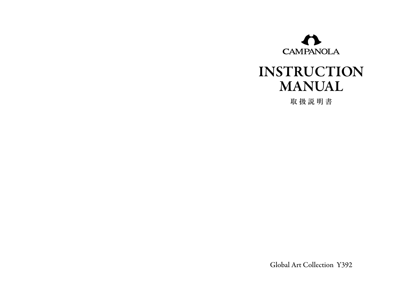

# INSTRUCTION MANUAL

取扱説明書

Global Art Collection Y392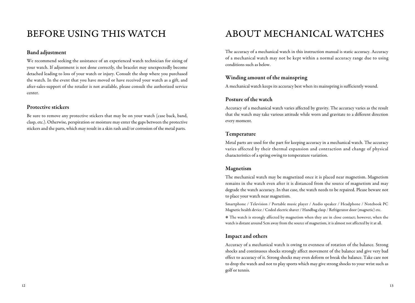### Band adjustment

We recommend seeking the assistance of an experienced watch technician for sizing of your watch. If adjustment is not done correctly, the bracelet may unexpectedly become detached leading to loss of your watch or injury. Consult the shop where you purchased the watch. In the event that you have moved or have received your watch as a gift, and after-sales-support of the retailer is not available, please consult the authorized service center.

### Protective stickers

Be sure to remove any protective stickers that may be on your watch (case back, band, clasp, etc.). Otherwise, perspiration or moisture may enter the gaps between the protective stickers and the parts, which may result in a skin rash and/or corrosion of the metal parts.

### BEFORE USING THIS WATCH ABOUT MECHANICAL WATCHES

The accuracy of a mechanical watch in this instruction manual is static accuracy. Accuracy of a mechanical watch may not be kept within a normal accuracy range due to using conditions such as below.

### Winding amount of the mainspring

A mechanical watch keeps its accuracy best when its mainspring is sufficiently wound.

### Posture of the watch

Accuracy of a mechanical watch varies affected by gravity. The accuracy varies as the result that the watch may take various attitude while worn and gravitate to a different direction every moment.

#### Temperature

Metal parts are used for the part for keeping accuracy in a mechanical watch. The accuracy varies affected by their thermal expansion and contraction and change of physical characteristics of a spring owing to temperature variation.

#### Magnetism

The mechanical watch may be magnetized once it is placed near magnetism. Magnetism remains in the watch even after it is distanced from the source of magnetism and may degrade the watch accuracy. In that case, the watch needs to be repaired. Please beware not to place your watch near magnetism.

Smartphone / Television / Portable music player / Audio speaker / Headphone / Notebook PC Magnetic health device / Coded electric shaver / Handbag clasp / Refrigerator door (magnetic) etc.

\* The watch is strongly affected by magnetism when they are in close contact; however, when the watch is distant around 5cm away from the source of magnetism, it is almost not affected by it at all.

### Impact and others

Accuracy of a mechanical watch is owing to evenness of rotation of the balance. Strong shocks and continuous shocks strongly affect movement of the balance and give very bad effect to accuracy of it. Strong shocks may even deform or break the balance. Take care not to drop the watch and not to play sports which may give strong shocks to your wrist such as golf or tennis.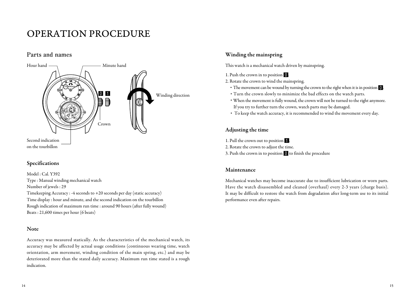### OPERATION PROCEDURE

### **Parts and names**



### Specifications

Model : Cal. Y392 Type : Manual winding mechanical watch Number of jewels : 29

Timekeeping Accuracy : -4 seconds to +20 seconds per day (static accuracy) Time display : hour and minute, and the second indication on the tourbillon Rough indication of maximum run time : around 90 hours (after fully wound) Beats : 21,600 times per hour (6 beats)

#### Note

Accuracy was measured statically. As the characteristics of the mechanical watch, its accuracy may be affected by actual usage conditions (continuous wearing time, watch orientation, arm movement, winding condition of the main spring, etc.) and may be deteriorated more than the stated daily accuracy. Maximum run time stated is a rough indication.

### Winding the mainspring

This watch is a mechanical watch driven by mainspring.

- 1. Push the crown in to position 0.
- 2. Rotate the crown to wind the mainspring.
	- The movement can be wound by turning the crown to the right when it is in position  $\mathbf{0}$ .
	- ・ Turn the crown slowly to minimize the bad effects on the watch parts.
	- ・ When the movement is fully wound, the crown will not be turned to the right anymore. If you try to further turn the crown, watch parts may be damaged.
	- ・ To keep the watch accuracy, it is recommended to wind the movement every day.

### Adjusting the time

- 1. Pull the crown out to position
- 2. Rotate the crown to adjust the time.
- 3. Push the crown in to position  $\blacksquare$  to finish the procedure

#### Maintenance

Mechanical watches may become inaccurate due to insufficient lubrication or worn parts. Have the watch disassembled and cleaned (overhaul) every 2-3 years (charge basis). It may be difficult to restore the watch from degradation after long-term use to its initial performance even after repairs.